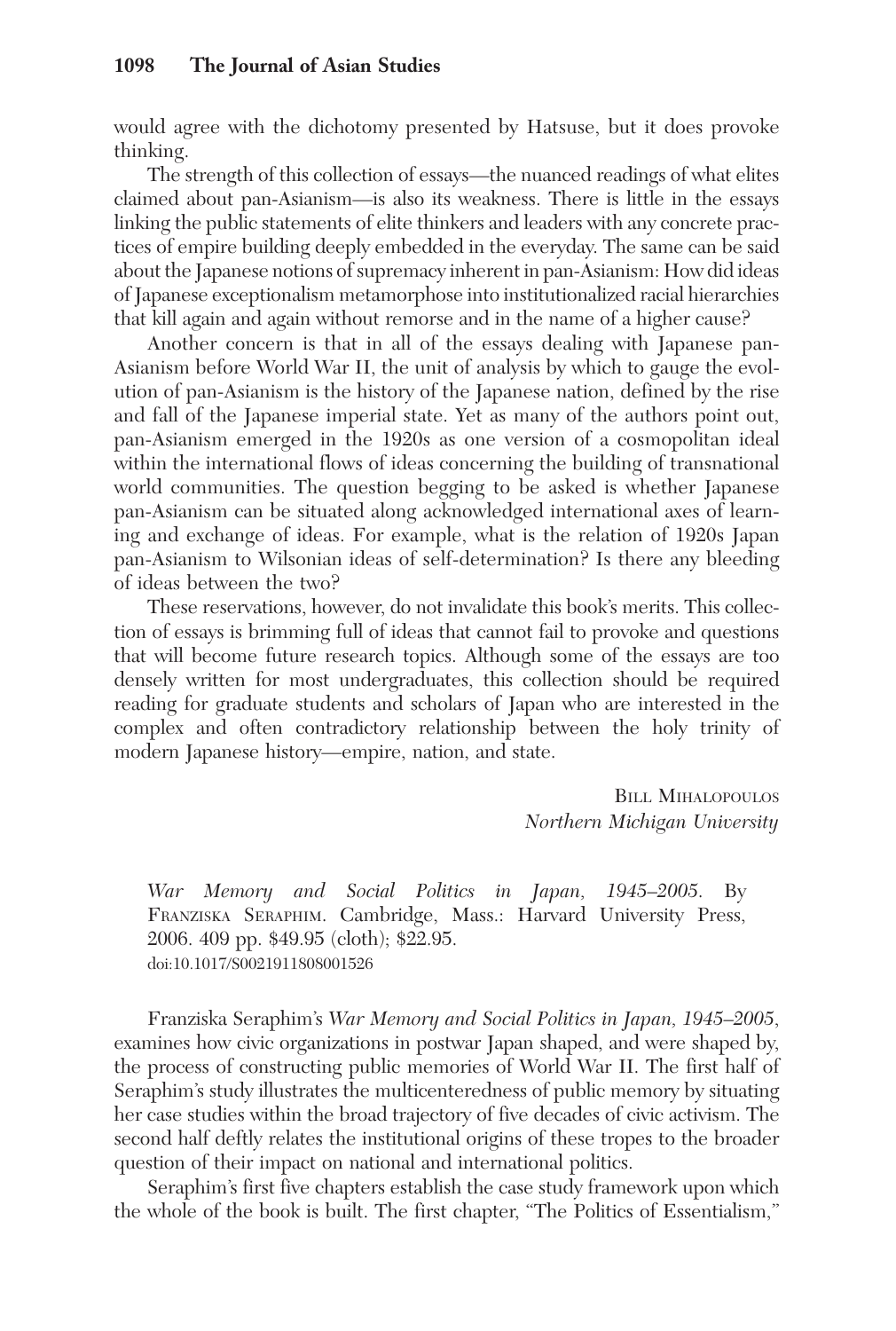## 1098 The Journal of Asian Studies

would agree with the dichotomy presented by Hatsuse, but it does provoke thinking.

The strength of this collection of essays—the nuanced readings of what elites claimed about pan-Asianism—is also its weakness. There is little in the essays linking the public statements of elite thinkers and leaders with any concrete practices of empire building deeply embedded in the everyday. The same can be said about the Japanese notions of supremacy inherent in pan-Asianism: How did ideas of Japanese exceptionalism metamorphose into institutionalized racial hierarchies that kill again and again without remorse and in the name of a higher cause?

Another concern is that in all of the essays dealing with Japanese pan-Asianism before World War II, the unit of analysis by which to gauge the evolution of pan-Asianism is the history of the Japanese nation, defined by the rise and fall of the Japanese imperial state. Yet as many of the authors point out, pan-Asianism emerged in the 1920s as one version of a cosmopolitan ideal within the international flows of ideas concerning the building of transnational world communities. The question begging to be asked is whether Japanese pan-Asianism can be situated along acknowledged international axes of learning and exchange of ideas. For example, what is the relation of 1920s Japan pan-Asianism to Wilsonian ideas of self-determination? Is there any bleeding of ideas between the two?

These reservations, however, do not invalidate this book's merits. This collection of essays is brimming full of ideas that cannot fail to provoke and questions that will become future research topics. Although some of the essays are too densely written for most undergraduates, this collection should be required reading for graduate students and scholars of Japan who are interested in the complex and often contradictory relationship between the holy trinity of modern Japanese history—empire, nation, and state.

> BILL MIHALOPOULOS Northern Michigan University

War Memory and Social Politics in Japan, 1945–2005. By FRANZISKA SERAPHIM. Cambridge, Mass.: Harvard University Press, 2006. 409 pp. \$49.95 (cloth); \$22.95. doi:10.1017/S0021911808001526

Franziska Seraphim's War Memory and Social Politics in Japan, 1945–2005, examines how civic organizations in postwar Japan shaped, and were shaped by, the process of constructing public memories of World War II. The first half of Seraphim's study illustrates the multicenteredness of public memory by situating her case studies within the broad trajectory of five decades of civic activism. The second half deftly relates the institutional origins of these tropes to the broader question of their impact on national and international politics.

Seraphim's first five chapters establish the case study framework upon which the whole of the book is built. The first chapter, "The Politics of Essentialism,"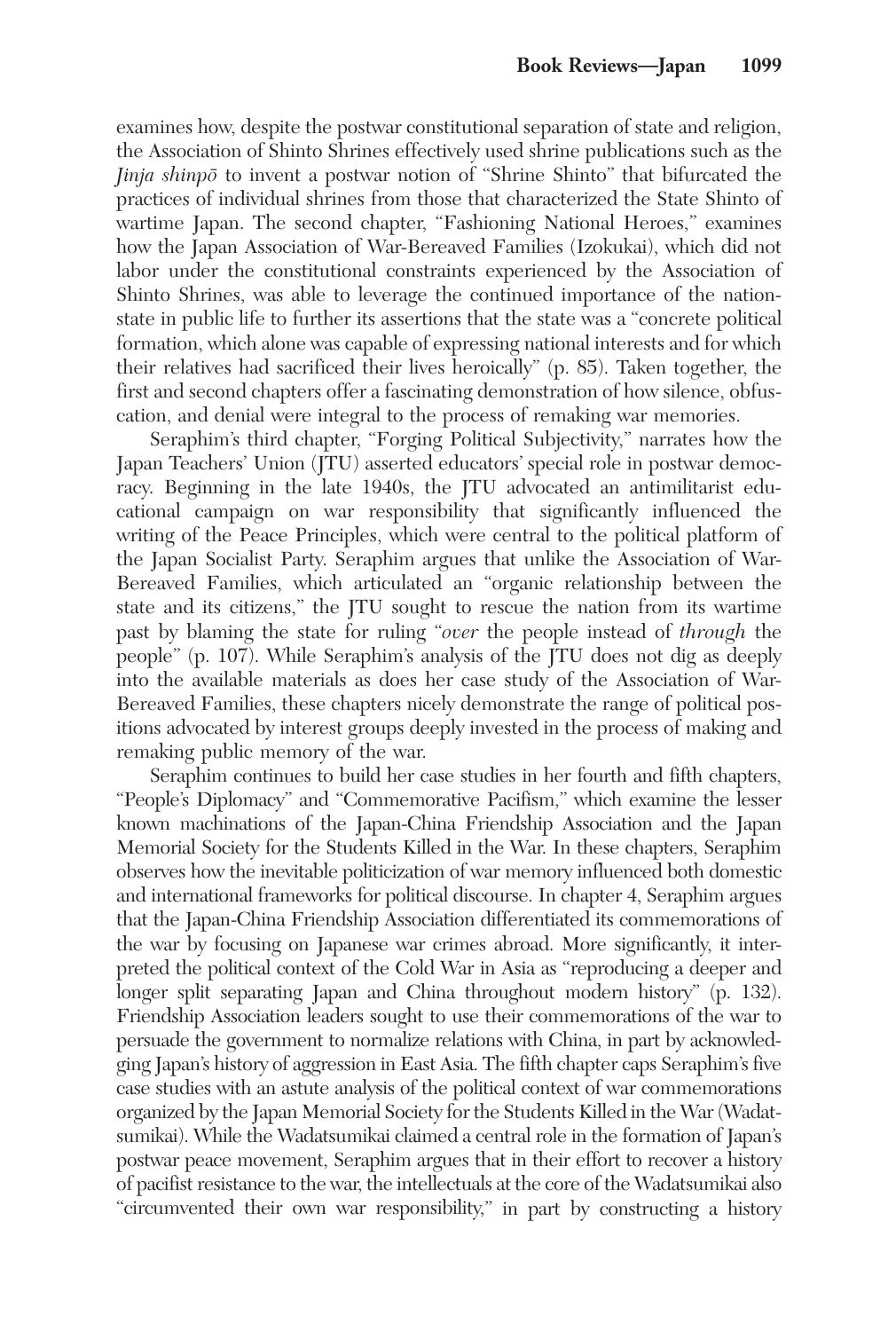examines how, despite the postwar constitutional separation of state and religion, the Association of Shinto Shrines effectively used shrine publications such as the  $Jinja\ shinp\bar{o}$  to invent a postwar notion of "Shrine Shinto" that bifurcated the practices of individual shrines from those that characterized the State Shinto of wartime Japan. The second chapter, "Fashioning National Heroes," examines how the Japan Association of War-Bereaved Families (Izokukai), which did not labor under the constitutional constraints experienced by the Association of Shinto Shrines, was able to leverage the continued importance of the nationstate in public life to further its assertions that the state was a "concrete political formation, which alone was capable of expressing national interests and for which their relatives had sacrificed their lives heroically" (p. 85). Taken together, the first and second chapters offer a fascinating demonstration of how silence, obfuscation, and denial were integral to the process of remaking war memories.

Seraphim's third chapter, "Forging Political Subjectivity," narrates how the Japan Teachers' Union (JTU) asserted educators' special role in postwar democracy. Beginning in the late 1940s, the JTU advocated an antimilitarist educational campaign on war responsibility that significantly influenced the writing of the Peace Principles, which were central to the political platform of the Japan Socialist Party. Seraphim argues that unlike the Association of War-Bereaved Families, which articulated an "organic relationship between the state and its citizens," the JTU sought to rescue the nation from its wartime past by blaming the state for ruling "over the people instead of through the people" (p. 107). While Seraphim's analysis of the JTU does not dig as deeply into the available materials as does her case study of the Association of War-Bereaved Families, these chapters nicely demonstrate the range of political positions advocated by interest groups deeply invested in the process of making and remaking public memory of the war.

Seraphim continues to build her case studies in her fourth and fifth chapters, "People's Diplomacy" and "Commemorative Pacifism," which examine the lesser known machinations of the Japan-China Friendship Association and the Japan Memorial Society for the Students Killed in the War. In these chapters, Seraphim observes how the inevitable politicization of war memory influenced both domestic and international frameworks for political discourse. In chapter 4, Seraphim argues that the Japan-China Friendship Association differentiated its commemorations of the war by focusing on Japanese war crimes abroad. More significantly, it interpreted the political context of the Cold War in Asia as "reproducing a deeper and longer split separating Japan and China throughout modern history" (p. 132). Friendship Association leaders sought to use their commemorations of the war to persuade the government to normalize relations with China, in part by acknowledging Japan's history of aggression in East Asia. The fifth chapter caps Seraphim's five case studies with an astute analysis of the political context of war commemorations organized by the Japan Memorial Society for the Students Killed in the War (Wadatsumikai). While the Wadatsumikai claimed a central role in the formation of Japan's postwar peace movement, Seraphim argues that in their effort to recover a history of pacifist resistance to the war, the intellectuals at the core of the Wadatsumikai also "circumvented their own war responsibility," in part by constructing a history